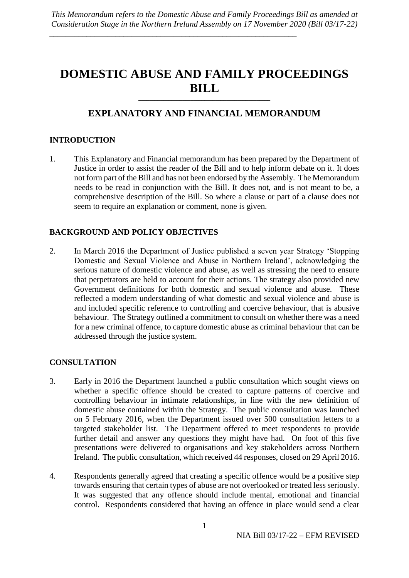# **DOMESTIC ABUSE AND FAMILY PROCEEDINGS BILL**

# **EXPLANATORY AND FINANCIAL MEMORANDUM**

 $\overline{\phantom{a}}$  , and the contract of the contract of the contract of the contract of the contract of the contract of the contract of the contract of the contract of the contract of the contract of the contract of the contrac

# **INTRODUCTION**

1. This Explanatory and Financial memorandum has been prepared by the Department of Justice in order to assist the reader of the Bill and to help inform debate on it. It does not form part of the Bill and has not been endorsed by the Assembly. The Memorandum needs to be read in conjunction with the Bill. It does not, and is not meant to be, a comprehensive description of the Bill. So where a clause or part of a clause does not seem to require an explanation or comment, none is given.

# **BACKGROUND AND POLICY OBJECTIVES**

2. In March 2016 the Department of Justice published a seven year Strategy 'Stopping Domestic and Sexual Violence and Abuse in Northern Ireland', acknowledging the serious nature of domestic violence and abuse, as well as stressing the need to ensure that perpetrators are held to account for their actions. The strategy also provided new Government definitions for both domestic and sexual violence and abuse. These reflected a modern understanding of what domestic and sexual violence and abuse is and included specific reference to controlling and coercive behaviour, that is abusive behaviour. The Strategy outlined a commitment to consult on whether there was a need for a new criminal offence, to capture domestic abuse as criminal behaviour that can be addressed through the justice system.

# **CONSULTATION**

- 3. Early in 2016 the Department launched a public consultation which sought views on whether a specific offence should be created to capture patterns of coercive and controlling behaviour in intimate relationships, in line with the new definition of domestic abuse contained within the Strategy. The public consultation was launched on 5 February 2016, when the Department issued over 500 consultation letters to a targeted stakeholder list. The Department offered to meet respondents to provide further detail and answer any questions they might have had. On foot of this five presentations were delivered to organisations and key stakeholders across Northern Ireland. The public consultation, which received 44 responses, closed on 29 April 2016.
- 4. Respondents generally agreed that creating a specific offence would be a positive step towards ensuring that certain types of abuse are not overlooked or treated less seriously. It was suggested that any offence should include mental, emotional and financial control. Respondents considered that having an offence in place would send a clear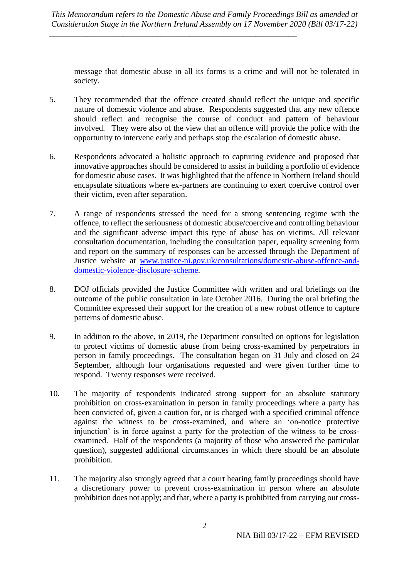\_\_\_\_\_\_\_\_\_\_\_\_\_\_\_\_\_\_\_\_\_\_\_\_\_\_\_\_\_\_\_\_\_\_\_\_\_\_\_\_\_\_\_\_\_\_\_\_\_\_\_\_\_\_\_\_\_\_\_\_

message that domestic abuse in all its forms is a crime and will not be tolerated in society.

- 5. They recommended that the offence created should reflect the unique and specific nature of domestic violence and abuse. Respondents suggested that any new offence should reflect and recognise the course of conduct and pattern of behaviour involved. They were also of the view that an offence will provide the police with the opportunity to intervene early and perhaps stop the escalation of domestic abuse.
- 6. Respondents advocated a holistic approach to capturing evidence and proposed that innovative approaches should be considered to assist in building a portfolio of evidence for domestic abuse cases. It was highlighted that the offence in Northern Ireland should encapsulate situations where ex-partners are continuing to exert coercive control over their victim, even after separation.
- 7. A range of respondents stressed the need for a strong sentencing regime with the offence, to reflect the seriousness of domestic abuse/coercive and controlling behaviour and the significant adverse impact this type of abuse has on victims. All relevant consultation documentation, including the consultation paper, equality screening form and report on the summary of responses can be accessed through the Department of Justice website at [www.justice-ni.gov.uk/consultations/domestic-abuse-offence-and](file:///C:/Users/2334412/AppData/Local/Microsoft/Windows/INetCache/Content.Outlook/AV1E9X6I/www.justice-ni.gov.uk/consultations/domestic-abuse-offence-and-domestic-violence-disclosure-scheme)[domestic-violence-disclosure-scheme.](file:///C:/Users/2334412/AppData/Local/Microsoft/Windows/INetCache/Content.Outlook/AV1E9X6I/www.justice-ni.gov.uk/consultations/domestic-abuse-offence-and-domestic-violence-disclosure-scheme)
- 8. DOJ officials provided the Justice Committee with written and oral briefings on the outcome of the public consultation in late October 2016. During the oral briefing the Committee expressed their support for the creation of a new robust offence to capture patterns of domestic abuse.
- 9. In addition to the above, in 2019, the Department consulted on options for legislation to protect victims of domestic abuse from being cross-examined by perpetrators in person in family proceedings. The consultation began on 31 July and closed on 24 September, although four organisations requested and were given further time to respond. Twenty responses were received.
- 10. The majority of respondents indicated strong support for an absolute statutory prohibition on cross-examination in person in family proceedings where a party has been convicted of, given a caution for, or is charged with a specified criminal offence against the witness to be cross-examined, and where an 'on-notice protective injunction' is in force against a party for the protection of the witness to be crossexamined. Half of the respondents (a majority of those who answered the particular question), suggested additional circumstances in which there should be an absolute prohibition.
- 11. The majority also strongly agreed that a court hearing family proceedings should have a discretionary power to prevent cross-examination in person where an absolute prohibition does not apply; and that, where a party is prohibited from carrying out cross-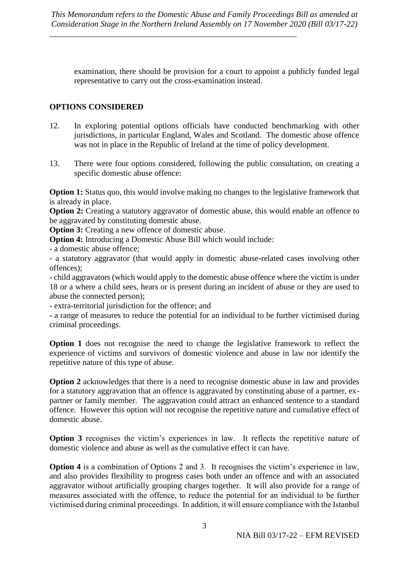examination, there should be provision for a court to appoint a publicly funded legal representative to carry out the cross-examination instead.

# **OPTIONS CONSIDERED**

- 12. In exploring potential options officials have conducted benchmarking with other jurisdictions, in particular England, Wales and Scotland. The domestic abuse offence was not in place in the Republic of Ireland at the time of policy development.
- 13. There were four options considered, following the public consultation, on creating a specific domestic abuse offence:

**Option 1:** Status quo, this would involve making no changes to the legislative framework that is already in place.

**Option 2:** Creating a statutory aggravator of domestic abuse, this would enable an offence to be aggravated by constituting domestic abuse.

**Option 3:** Creating a new offence of domestic abuse.

**Option 4:** Introducing a Domestic Abuse Bill which would include:

- a domestic abuse offence;

- a statutory aggravator (that would apply in domestic abuse-related cases involving other offences);

- child aggravators (which would apply to the domestic abuse offence where the victim is under 18 or a where a child sees, hears or is present during an incident of abuse or they are used to abuse the connected person);

- extra-territorial jurisdiction for the offence; and

- a range of measures to reduce the potential for an individual to be further victimised during criminal proceedings.

**Option 1** does not recognise the need to change the legislative framework to reflect the experience of victims and survivors of domestic violence and abuse in law nor identify the repetitive nature of this type of abuse.

**Option 2** acknowledges that there is a need to recognise domestic abuse in law and provides for a statutory aggravation that an offence is aggravated by constituting abuse of a partner, expartner or family member. The aggravation could attract an enhanced sentence to a standard offence. However this option will not recognise the repetitive nature and cumulative effect of domestic abuse.

**Option 3** recognises the victim's experiences in law. It reflects the repetitive nature of domestic violence and abuse as well as the cumulative effect it can have.

**Option 4** is a combination of Options 2 and 3. It recognises the victim's experience in law, and also provides flexibility to progress cases both under an offence and with an associated aggravator without artificially grouping charges together. It will also provide for a range of measures associated with the offence, to reduce the potential for an individual to be further victimised during criminal proceedings. In addition, it will ensure compliance with the Istanbul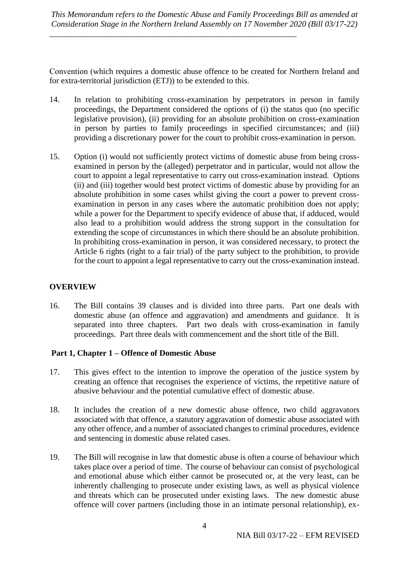\_\_\_\_\_\_\_\_\_\_\_\_\_\_\_\_\_\_\_\_\_\_\_\_\_\_\_\_\_\_\_\_\_\_\_\_\_\_\_\_\_\_\_\_\_\_\_\_\_\_\_\_\_\_\_\_\_\_\_\_

Convention (which requires a domestic abuse offence to be created for Northern Ireland and for extra-territorial jurisdiction (ETJ)) to be extended to this.

- 14. In relation to prohibiting cross-examination by perpetrators in person in family proceedings, the Department considered the options of (i) the status quo (no specific legislative provision), (ii) providing for an absolute prohibition on cross-examination in person by parties to family proceedings in specified circumstances; and (iii) providing a discretionary power for the court to prohibit cross-examination in person.
- 15. Option (i) would not sufficiently protect victims of domestic abuse from being crossexamined in person by the (alleged) perpetrator and in particular, would not allow the court to appoint a legal representative to carry out cross-examination instead. Options (ii) and (iii) together would best protect victims of domestic abuse by providing for an absolute prohibition in some cases whilst giving the court a power to prevent crossexamination in person in any cases where the automatic prohibition does not apply; while a power for the Department to specify evidence of abuse that, if adduced, would also lead to a prohibition would address the strong support in the consultation for extending the scope of circumstances in which there should be an absolute prohibition. In prohibiting cross-examination in person, it was considered necessary, to protect the Article 6 rights (right to a fair trial) of the party subject to the prohibition, to provide for the court to appoint a legal representative to carry out the cross-examination instead.

### **OVERVIEW**

16. The Bill contains 39 clauses and is divided into three parts. Part one deals with domestic abuse (an offence and aggravation) and amendments and guidance. It is separated into three chapters. Part two deals with cross-examination in family proceedings. Part three deals with commencement and the short title of the Bill.

### **Part 1, Chapter 1 – Offence of Domestic Abuse**

- 17. This gives effect to the intention to improve the operation of the justice system by creating an offence that recognises the experience of victims, the repetitive nature of abusive behaviour and the potential cumulative effect of domestic abuse.
- 18. It includes the creation of a new domestic abuse offence, two child aggravators associated with that offence, a statutory aggravation of domestic abuse associated with any other offence, and a number of associated changes to criminal procedures, evidence and sentencing in domestic abuse related cases.
- 19. The Bill will recognise in law that domestic abuse is often a course of behaviour which takes place over a period of time. The course of behaviour can consist of psychological and emotional abuse which either cannot be prosecuted or, at the very least, can be inherently challenging to prosecute under existing laws, as well as physical violence and threats which can be prosecuted under existing laws. The new domestic abuse offence will cover partners (including those in an intimate personal relationship), ex-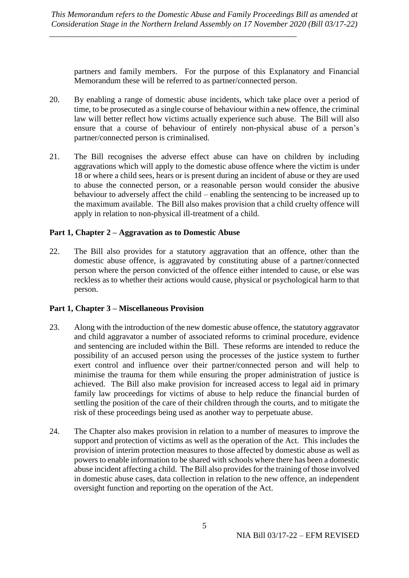partners and family members. For the purpose of this Explanatory and Financial Memorandum these will be referred to as partner/connected person.

- 20. By enabling a range of domestic abuse incidents, which take place over a period of time, to be prosecuted as a single course of behaviour within a new offence, the criminal law will better reflect how victims actually experience such abuse. The Bill will also ensure that a course of behaviour of entirely non-physical abuse of a person's partner/connected person is criminalised.
- 21. The Bill recognises the adverse effect abuse can have on children by including aggravations which will apply to the domestic abuse offence where the victim is under 18 or where a child sees, hears or is present during an incident of abuse or they are used to abuse the connected person, or a reasonable person would consider the abusive behaviour to adversely affect the child – enabling the sentencing to be increased up to the maximum available. The Bill also makes provision that a child cruelty offence will apply in relation to non-physical ill-treatment of a child.

### **Part 1, Chapter 2 – Aggravation as to Domestic Abuse**

22. The Bill also provides for a statutory aggravation that an offence, other than the domestic abuse offence, is aggravated by constituting abuse of a partner/connected person where the person convicted of the offence either intended to cause, or else was reckless as to whether their actions would cause, physical or psychological harm to that person.

# **Part 1, Chapter 3 – Miscellaneous Provision**

- 23. Along with the introduction of the new domestic abuse offence, the statutory aggravator and child aggravator a number of associated reforms to criminal procedure, evidence and sentencing are included within the Bill. These reforms are intended to reduce the possibility of an accused person using the processes of the justice system to further exert control and influence over their partner/connected person and will help to minimise the trauma for them while ensuring the proper administration of justice is achieved. The Bill also make provision for increased access to legal aid in primary family law proceedings for victims of abuse to help reduce the financial burden of settling the position of the care of their children through the courts, and to mitigate the risk of these proceedings being used as another way to perpetuate abuse.
- 24. The Chapter also makes provision in relation to a number of measures to improve the support and protection of victims as well as the operation of the Act. This includes the provision of interim protection measures to those affected by domestic abuse as well as powers to enable information to be shared with schools where there has been a domestic abuse incident affecting a child. The Bill also provides for the training of those involved in domestic abuse cases, data collection in relation to the new offence, an independent oversight function and reporting on the operation of the Act.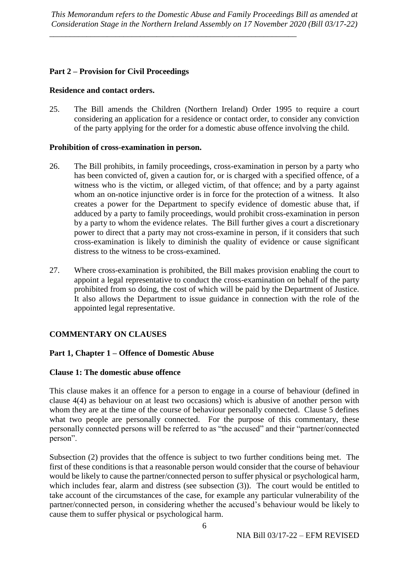\_\_\_\_\_\_\_\_\_\_\_\_\_\_\_\_\_\_\_\_\_\_\_\_\_\_\_\_\_\_\_\_\_\_\_\_\_\_\_\_\_\_\_\_\_\_\_\_\_\_\_\_\_\_\_\_\_\_\_\_

### **Part 2 – Provision for Civil Proceedings**

### **Residence and contact orders.**

25. The Bill amends the Children (Northern Ireland) Order 1995 to require a court considering an application for a residence or contact order, to consider any conviction of the party applying for the order for a domestic abuse offence involving the child.

### **Prohibition of cross-examination in person.**

- 26. The Bill prohibits, in family proceedings, cross-examination in person by a party who has been convicted of, given a caution for, or is charged with a specified offence, of a witness who is the victim, or alleged victim, of that offence; and by a party against whom an on-notice injunctive order is in force for the protection of a witness. It also creates a power for the Department to specify evidence of domestic abuse that, if adduced by a party to family proceedings, would prohibit cross-examination in person by a party to whom the evidence relates. The Bill further gives a court a discretionary power to direct that a party may not cross-examine in person, if it considers that such cross-examination is likely to diminish the quality of evidence or cause significant distress to the witness to be cross-examined.
- 27. Where cross-examination is prohibited, the Bill makes provision enabling the court to appoint a legal representative to conduct the cross-examination on behalf of the party prohibited from so doing, the cost of which will be paid by the Department of Justice. It also allows the Department to issue guidance in connection with the role of the appointed legal representative.

# **COMMENTARY ON CLAUSES**

# **Part 1, Chapter 1 – Offence of Domestic Abuse**

### **Clause 1: The domestic abuse offence**

This clause makes it an offence for a person to engage in a course of behaviour (defined in clause 4(4) as behaviour on at least two occasions) which is abusive of another person with whom they are at the time of the course of behaviour personally connected. Clause 5 defines what two people are personally connected. For the purpose of this commentary, these personally connected persons will be referred to as "the accused" and their "partner/connected person".

Subsection (2) provides that the offence is subject to two further conditions being met. The first of these conditions is that a reasonable person would consider that the course of behaviour would be likely to cause the partner/connected person to suffer physical or psychological harm, which includes fear, alarm and distress (see subsection (3)). The court would be entitled to take account of the circumstances of the case, for example any particular vulnerability of the partner/connected person, in considering whether the accused's behaviour would be likely to cause them to suffer physical or psychological harm.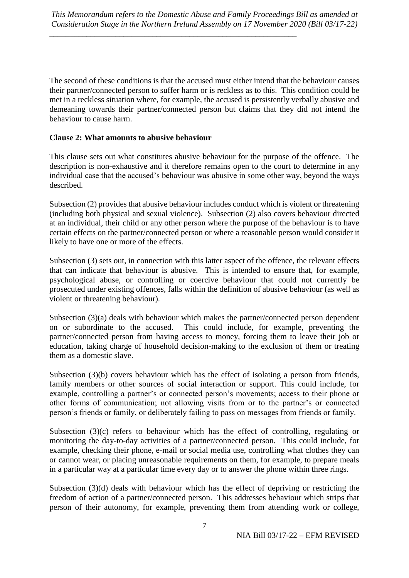The second of these conditions is that the accused must either intend that the behaviour causes their partner/connected person to suffer harm or is reckless as to this. This condition could be met in a reckless situation where, for example, the accused is persistently verbally abusive and demeaning towards their partner/connected person but claims that they did not intend the behaviour to cause harm.

# **Clause 2: What amounts to abusive behaviour**

This clause sets out what constitutes abusive behaviour for the purpose of the offence. The description is non-exhaustive and it therefore remains open to the court to determine in any individual case that the accused's behaviour was abusive in some other way, beyond the ways described.

Subsection (2) provides that abusive behaviour includes conduct which is violent or threatening (including both physical and sexual violence). Subsection (2) also covers behaviour directed at an individual, their child or any other person where the purpose of the behaviour is to have certain effects on the partner/connected person or where a reasonable person would consider it likely to have one or more of the effects.

Subsection (3) sets out, in connection with this latter aspect of the offence, the relevant effects that can indicate that behaviour is abusive. This is intended to ensure that, for example, psychological abuse, or controlling or coercive behaviour that could not currently be prosecuted under existing offences, falls within the definition of abusive behaviour (as well as violent or threatening behaviour).

Subsection (3)(a) deals with behaviour which makes the partner/connected person dependent on or subordinate to the accused. This could include, for example, preventing the partner/connected person from having access to money, forcing them to leave their job or education, taking charge of household decision-making to the exclusion of them or treating them as a domestic slave.

Subsection (3)(b) covers behaviour which has the effect of isolating a person from friends, family members or other sources of social interaction or support. This could include, for example, controlling a partner's or connected person's movements; access to their phone or other forms of communication; not allowing visits from or to the partner's or connected person's friends or family, or deliberately failing to pass on messages from friends or family.

Subsection (3)(c) refers to behaviour which has the effect of controlling, regulating or monitoring the day-to-day activities of a partner/connected person. This could include, for example, checking their phone, e-mail or social media use, controlling what clothes they can or cannot wear, or placing unreasonable requirements on them, for example, to prepare meals in a particular way at a particular time every day or to answer the phone within three rings.

Subsection (3)(d) deals with behaviour which has the effect of depriving or restricting the freedom of action of a partner/connected person. This addresses behaviour which strips that person of their autonomy, for example, preventing them from attending work or college,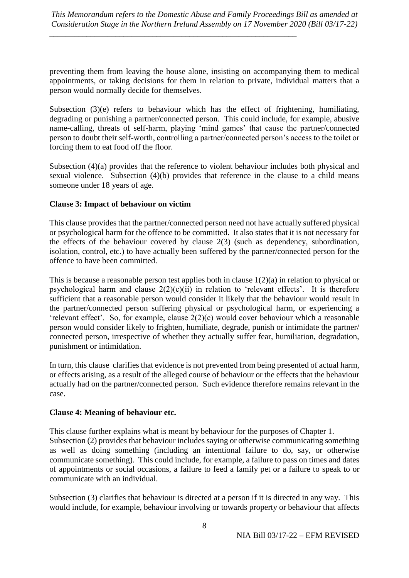\_\_\_\_\_\_\_\_\_\_\_\_\_\_\_\_\_\_\_\_\_\_\_\_\_\_\_\_\_\_\_\_\_\_\_\_\_\_\_\_\_\_\_\_\_\_\_\_\_\_\_\_\_\_\_\_\_\_\_\_

preventing them from leaving the house alone, insisting on accompanying them to medical appointments, or taking decisions for them in relation to private, individual matters that a person would normally decide for themselves.

Subsection (3)(e) refers to behaviour which has the effect of frightening, humiliating, degrading or punishing a partner/connected person. This could include, for example, abusive name-calling, threats of self-harm, playing 'mind games' that cause the partner/connected person to doubt their self-worth, controlling a partner/connected person's access to the toilet or forcing them to eat food off the floor.

Subsection (4)(a) provides that the reference to violent behaviour includes both physical and sexual violence. Subsection (4)(b) provides that reference in the clause to a child means someone under 18 years of age.

# **Clause 3: Impact of behaviour on victim**

This clause provides that the partner/connected person need not have actually suffered physical or psychological harm for the offence to be committed. It also states that it is not necessary for the effects of the behaviour covered by clause 2(3) (such as dependency, subordination, isolation, control, etc.) to have actually been suffered by the partner/connected person for the offence to have been committed.

This is because a reasonable person test applies both in clause 1(2)(a) in relation to physical or psychological harm and clause  $2(2)(c)(ii)$  in relation to 'relevant effects'. It is therefore sufficient that a reasonable person would consider it likely that the behaviour would result in the partner/connected person suffering physical or psychological harm, or experiencing a 'relevant effect'. So, for example, clause 2(2)(c) would cover behaviour which a reasonable person would consider likely to frighten, humiliate, degrade, punish or intimidate the partner/ connected person, irrespective of whether they actually suffer fear, humiliation, degradation, punishment or intimidation.

In turn, this clause clarifies that evidence is not prevented from being presented of actual harm, or effects arising, as a result of the alleged course of behaviour or the effects that the behaviour actually had on the partner/connected person. Such evidence therefore remains relevant in the case.

### **Clause 4: Meaning of behaviour etc.**

This clause further explains what is meant by behaviour for the purposes of Chapter 1. Subsection (2) provides that behaviour includes saying or otherwise communicating something as well as doing something (including an intentional failure to do, say, or otherwise communicate something). This could include, for example, a failure to pass on times and dates of appointments or social occasions, a failure to feed a family pet or a failure to speak to or communicate with an individual.

Subsection (3) clarifies that behaviour is directed at a person if it is directed in any way. This would include, for example, behaviour involving or towards property or behaviour that affects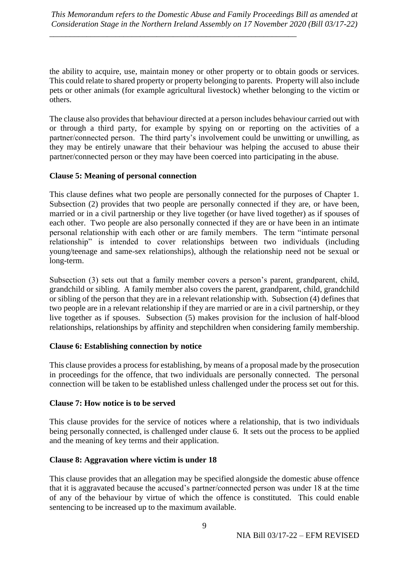\_\_\_\_\_\_\_\_\_\_\_\_\_\_\_\_\_\_\_\_\_\_\_\_\_\_\_\_\_\_\_\_\_\_\_\_\_\_\_\_\_\_\_\_\_\_\_\_\_\_\_\_\_\_\_\_\_\_\_\_

the ability to acquire, use, maintain money or other property or to obtain goods or services. This could relate to shared property or property belonging to parents. Property will also include pets or other animals (for example agricultural livestock) whether belonging to the victim or others.

The clause also provides that behaviour directed at a person includes behaviour carried out with or through a third party, for example by spying on or reporting on the activities of a partner/connected person. The third party's involvement could be unwitting or unwilling, as they may be entirely unaware that their behaviour was helping the accused to abuse their partner/connected person or they may have been coerced into participating in the abuse.

### **Clause 5: Meaning of personal connection**

This clause defines what two people are personally connected for the purposes of Chapter 1. Subsection (2) provides that two people are personally connected if they are, or have been, married or in a civil partnership or they live together (or have lived together) as if spouses of each other. Two people are also personally connected if they are or have been in an intimate personal relationship with each other or are family members. The term "intimate personal relationship" is intended to cover relationships between two individuals (including young/teenage and same-sex relationships), although the relationship need not be sexual or long-term.

Subsection (3) sets out that a family member covers a person's parent, grandparent, child, grandchild or sibling. A family member also covers the parent, grandparent, child, grandchild or sibling of the person that they are in a relevant relationship with. Subsection (4) defines that two people are in a relevant relationship if they are married or are in a civil partnership, or they live together as if spouses. Subsection (5) makes provision for the inclusion of half-blood relationships, relationships by affinity and stepchildren when considering family membership.

# **Clause 6: Establishing connection by notice**

This clause provides a process for establishing, by means of a proposal made by the prosecution in proceedings for the offence, that two individuals are personally connected. The personal connection will be taken to be established unless challenged under the process set out for this.

# **Clause 7: How notice is to be served**

This clause provides for the service of notices where a relationship, that is two individuals being personally connected, is challenged under clause 6. It sets out the process to be applied and the meaning of key terms and their application.

### **Clause 8: Aggravation where victim is under 18**

This clause provides that an allegation may be specified alongside the domestic abuse offence that it is aggravated because the accused's partner/connected person was under 18 at the time of any of the behaviour by virtue of which the offence is constituted. This could enable sentencing to be increased up to the maximum available.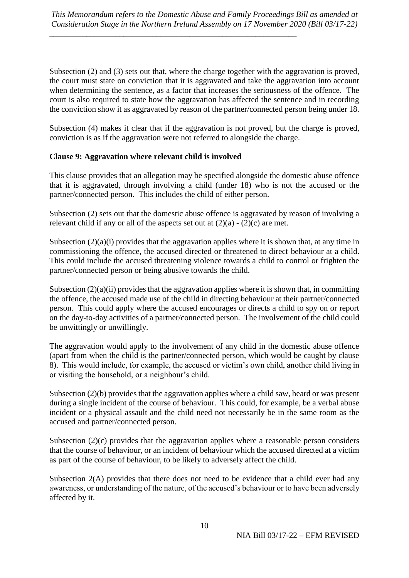Subsection (2) and (3) sets out that, where the charge together with the aggravation is proved, the court must state on conviction that it is aggravated and take the aggravation into account when determining the sentence, as a factor that increases the seriousness of the offence. The court is also required to state how the aggravation has affected the sentence and in recording the conviction show it as aggravated by reason of the partner/connected person being under 18.

Subsection (4) makes it clear that if the aggravation is not proved, but the charge is proved, conviction is as if the aggravation were not referred to alongside the charge.

# **Clause 9: Aggravation where relevant child is involved**

This clause provides that an allegation may be specified alongside the domestic abuse offence that it is aggravated, through involving a child (under 18) who is not the accused or the partner/connected person. This includes the child of either person.

Subsection (2) sets out that the domestic abuse offence is aggravated by reason of involving a relevant child if any or all of the aspects set out at  $(2)(a) - (2)(c)$  are met.

Subsection (2)(a)(i) provides that the aggravation applies where it is shown that, at any time in commissioning the offence, the accused directed or threatened to direct behaviour at a child. This could include the accused threatening violence towards a child to control or frighten the partner/connected person or being abusive towards the child.

Subsection  $(2)(a)(ii)$  provides that the aggravation applies where it is shown that, in committing the offence, the accused made use of the child in directing behaviour at their partner/connected person. This could apply where the accused encourages or directs a child to spy on or report on the day-to-day activities of a partner/connected person. The involvement of the child could be unwittingly or unwillingly.

The aggravation would apply to the involvement of any child in the domestic abuse offence (apart from when the child is the partner/connected person, which would be caught by clause 8). This would include, for example, the accused or victim's own child, another child living in or visiting the household, or a neighbour's child.

Subsection (2)(b) provides that the aggravation applies where a child saw, heard or was present during a single incident of the course of behaviour. This could, for example, be a verbal abuse incident or a physical assault and the child need not necessarily be in the same room as the accused and partner/connected person.

Subsection  $(2)(c)$  provides that the aggravation applies where a reasonable person considers that the course of behaviour, or an incident of behaviour which the accused directed at a victim as part of the course of behaviour, to be likely to adversely affect the child.

Subsection 2(A) provides that there does not need to be evidence that a child ever had any awareness, or understanding of the nature, of the accused's behaviour or to have been adversely affected by it.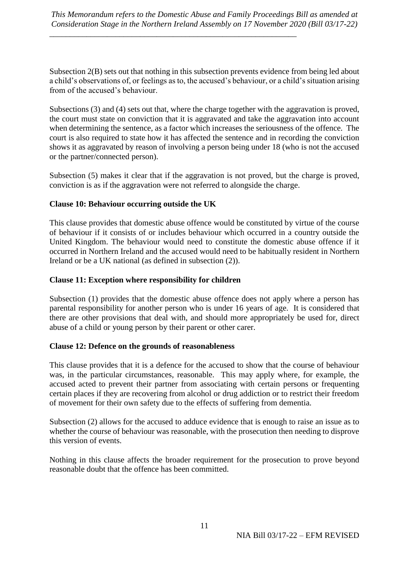\_\_\_\_\_\_\_\_\_\_\_\_\_\_\_\_\_\_\_\_\_\_\_\_\_\_\_\_\_\_\_\_\_\_\_\_\_\_\_\_\_\_\_\_\_\_\_\_\_\_\_\_\_\_\_\_\_\_\_\_

Subsection 2(B) sets out that nothing in this subsection prevents evidence from being led about a child's observations of, or feelings as to, the accused's behaviour, or a child's situation arising from of the accused's behaviour.

Subsections (3) and (4) sets out that, where the charge together with the aggravation is proved, the court must state on conviction that it is aggravated and take the aggravation into account when determining the sentence, as a factor which increases the seriousness of the offence. The court is also required to state how it has affected the sentence and in recording the conviction shows it as aggravated by reason of involving a person being under 18 (who is not the accused or the partner/connected person).

Subsection (5) makes it clear that if the aggravation is not proved, but the charge is proved, conviction is as if the aggravation were not referred to alongside the charge.

# **Clause 10: Behaviour occurring outside the UK**

This clause provides that domestic abuse offence would be constituted by virtue of the course of behaviour if it consists of or includes behaviour which occurred in a country outside the United Kingdom. The behaviour would need to constitute the domestic abuse offence if it occurred in Northern Ireland and the accused would need to be habitually resident in Northern Ireland or be a UK national (as defined in subsection (2)).

### **Clause 11: Exception where responsibility for children**

Subsection (1) provides that the domestic abuse offence does not apply where a person has parental responsibility for another person who is under 16 years of age. It is considered that there are other provisions that deal with, and should more appropriately be used for, direct abuse of a child or young person by their parent or other carer.

### **Clause 12: Defence on the grounds of reasonableness**

This clause provides that it is a defence for the accused to show that the course of behaviour was, in the particular circumstances, reasonable. This may apply where, for example, the accused acted to prevent their partner from associating with certain persons or frequenting certain places if they are recovering from alcohol or drug addiction or to restrict their freedom of movement for their own safety due to the effects of suffering from dementia.

Subsection (2) allows for the accused to adduce evidence that is enough to raise an issue as to whether the course of behaviour was reasonable, with the prosecution then needing to disprove this version of events.

Nothing in this clause affects the broader requirement for the prosecution to prove beyond reasonable doubt that the offence has been committed.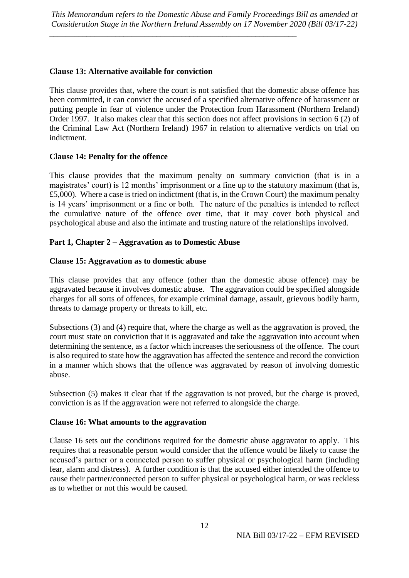\_\_\_\_\_\_\_\_\_\_\_\_\_\_\_\_\_\_\_\_\_\_\_\_\_\_\_\_\_\_\_\_\_\_\_\_\_\_\_\_\_\_\_\_\_\_\_\_\_\_\_\_\_\_\_\_\_\_\_\_

### **Clause 13: Alternative available for conviction**

This clause provides that, where the court is not satisfied that the domestic abuse offence has been committed, it can convict the accused of a specified alternative offence of harassment or putting people in fear of violence under the Protection from Harassment (Northern Ireland) Order 1997. It also makes clear that this section does not affect provisions in section 6 (2) of the Criminal Law Act (Northern Ireland) 1967 in relation to alternative verdicts on trial on indictment.

### **Clause 14: Penalty for the offence**

This clause provides that the maximum penalty on summary conviction (that is in a magistrates' court) is 12 months' imprisonment or a fine up to the statutory maximum (that is, £5,000). Where a case is tried on indictment (that is, in the Crown Court) the maximum penalty is 14 years' imprisonment or a fine or both. The nature of the penalties is intended to reflect the cumulative nature of the offence over time, that it may cover both physical and psychological abuse and also the intimate and trusting nature of the relationships involved.

### **Part 1, Chapter 2 – Aggravation as to Domestic Abuse**

### **Clause 15: Aggravation as to domestic abuse**

This clause provides that any offence (other than the domestic abuse offence) may be aggravated because it involves domestic abuse. The aggravation could be specified alongside charges for all sorts of offences, for example criminal damage, assault, grievous bodily harm, threats to damage property or threats to kill, etc.

Subsections (3) and (4) require that, where the charge as well as the aggravation is proved, the court must state on conviction that it is aggravated and take the aggravation into account when determining the sentence, as a factor which increases the seriousness of the offence. The court is also required to state how the aggravation has affected the sentence and record the conviction in a manner which shows that the offence was aggravated by reason of involving domestic abuse.

Subsection (5) makes it clear that if the aggravation is not proved, but the charge is proved, conviction is as if the aggravation were not referred to alongside the charge.

### **Clause 16: What amounts to the aggravation**

Clause 16 sets out the conditions required for the domestic abuse aggravator to apply. This requires that a reasonable person would consider that the offence would be likely to cause the accused's partner or a connected person to suffer physical or psychological harm (including fear, alarm and distress). A further condition is that the accused either intended the offence to cause their partner/connected person to suffer physical or psychological harm, or was reckless as to whether or not this would be caused.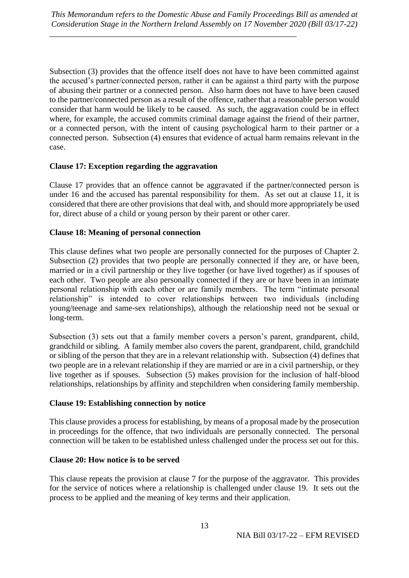Subsection (3) provides that the offence itself does not have to have been committed against the accused's partner/connected person, rather it can be against a third party with the purpose of abusing their partner or a connected person. Also harm does not have to have been caused to the partner/connected person as a result of the offence, rather that a reasonable person would consider that harm would be likely to be caused. As such, the aggravation could be in effect where, for example, the accused commits criminal damage against the friend of their partner, or a connected person, with the intent of causing psychological harm to their partner or a connected person. Subsection (4) ensures that evidence of actual harm remains relevant in the case.

# **Clause 17: Exception regarding the aggravation**

Clause 17 provides that an offence cannot be aggravated if the partner/connected person is under 16 and the accused has parental responsibility for them. As set out at clause 11, it is considered that there are other provisions that deal with, and should more appropriately be used for, direct abuse of a child or young person by their parent or other carer.

# **Clause 18: Meaning of personal connection**

This clause defines what two people are personally connected for the purposes of Chapter 2. Subsection (2) provides that two people are personally connected if they are, or have been, married or in a civil partnership or they live together (or have lived together) as if spouses of each other. Two people are also personally connected if they are or have been in an intimate personal relationship with each other or are family members. The term "intimate personal relationship" is intended to cover relationships between two individuals (including young/teenage and same-sex relationships), although the relationship need not be sexual or long-term.

Subsection (3) sets out that a family member covers a person's parent, grandparent, child, grandchild or sibling. A family member also covers the parent, grandparent, child, grandchild or sibling of the person that they are in a relevant relationship with. Subsection (4) defines that two people are in a relevant relationship if they are married or are in a civil partnership, or they live together as if spouses. Subsection (5) makes provision for the inclusion of half-blood relationships, relationships by affinity and stepchildren when considering family membership.

# **Clause 19: Establishing connection by notice**

This clause provides a process for establishing, by means of a proposal made by the prosecution in proceedings for the offence, that two individuals are personally connected. The personal connection will be taken to be established unless challenged under the process set out for this.

# **Clause 20: How notice is to be served**

This clause repeats the provision at clause 7 for the purpose of the aggravator. This provides for the service of notices where a relationship is challenged under clause 19. It sets out the process to be applied and the meaning of key terms and their application.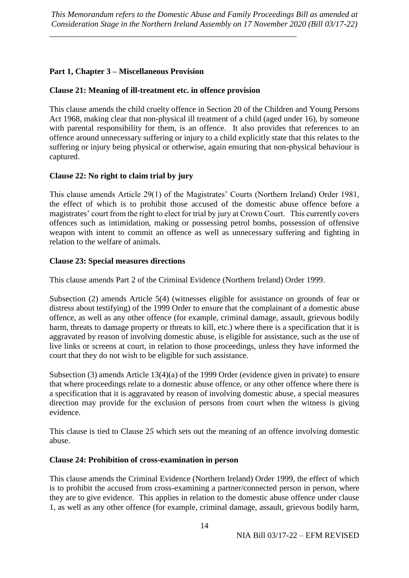# **Part 1, Chapter 3 – Miscellaneous Provision**

### **Clause 21: Meaning of ill-treatment etc. in offence provision**

\_\_\_\_\_\_\_\_\_\_\_\_\_\_\_\_\_\_\_\_\_\_\_\_\_\_\_\_\_\_\_\_\_\_\_\_\_\_\_\_\_\_\_\_\_\_\_\_\_\_\_\_\_\_\_\_\_\_\_\_

This clause amends the child cruelty offence in Section 20 of the Children and Young Persons Act 1968, making clear that non-physical ill treatment of a child (aged under 16), by someone with parental responsibility for them, is an offence. It also provides that references to an offence around unnecessary suffering or injury to a child explicitly state that this relates to the suffering or injury being physical or otherwise, again ensuring that non-physical behaviour is captured.

### **Clause 22: No right to claim trial by jury**

This clause amends Article 29(1) of the Magistrates' Courts (Northern Ireland) Order 1981, the effect of which is to prohibit those accused of the domestic abuse offence before a magistrates' court from the right to elect for trial by jury at Crown Court. This currently covers offences such as intimidation, making or possessing petrol bombs, possession of offensive weapon with intent to commit an offence as well as unnecessary suffering and fighting in relation to the welfare of animals.

### **Clause 23: Special measures directions**

This clause amends Part 2 of the Criminal Evidence (Northern Ireland) Order 1999.

Subsection (2) amends Article 5(4) (witnesses eligible for assistance on grounds of fear or distress about testifying) of the 1999 Order to ensure that the complainant of a domestic abuse offence, as well as any other offence (for example, criminal damage, assault, grievous bodily harm, threats to damage property or threats to kill, etc.) where there is a specification that it is aggravated by reason of involving domestic abuse, is eligible for assistance, such as the use of live links or screens at court, in relation to those proceedings, unless they have informed the court that they do not wish to be eligible for such assistance.

Subsection (3) amends Article 13(4)(a) of the 1999 Order (evidence given in private) to ensure that where proceedings relate to a domestic abuse offence, or any other offence where there is a specification that it is aggravated by reason of involving domestic abuse, a special measures direction may provide for the exclusion of persons from court when the witness is giving evidence.

This clause is tied to Clause 2*5* which sets out the meaning of an offence involving domestic abuse.

### **Clause 24: Prohibition of cross-examination in person**

This clause amends the Criminal Evidence (Northern Ireland) Order 1999, the effect of which is to prohibit the accused from cross-examining a partner/connected person in person, where they are to give evidence. This applies in relation to the domestic abuse offence under clause 1, as well as any other offence (for example, criminal damage, assault, grievous bodily harm,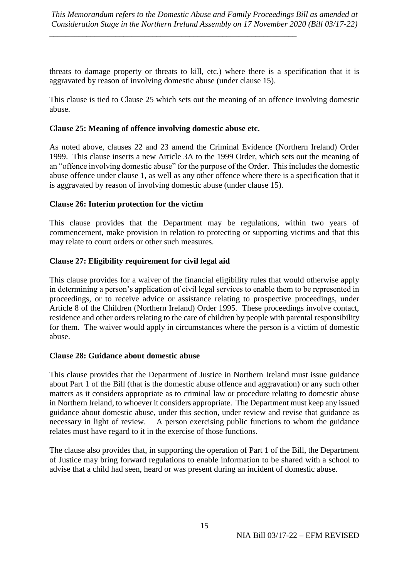\_\_\_\_\_\_\_\_\_\_\_\_\_\_\_\_\_\_\_\_\_\_\_\_\_\_\_\_\_\_\_\_\_\_\_\_\_\_\_\_\_\_\_\_\_\_\_\_\_\_\_\_\_\_\_\_\_\_\_\_

threats to damage property or threats to kill, etc.) where there is a specification that it is aggravated by reason of involving domestic abuse (under clause 15).

This clause is tied to Clause 25 which sets out the meaning of an offence involving domestic abuse.

### **Clause 25: Meaning of offence involving domestic abuse etc.**

As noted above, clauses 22 and 23 amend the Criminal Evidence (Northern Ireland) Order 1999. This clause inserts a new Article 3A to the 1999 Order, which sets out the meaning of an "offence involving domestic abuse" for the purpose of the Order. This includes the domestic abuse offence under clause 1, as well as any other offence where there is a specification that it is aggravated by reason of involving domestic abuse (under clause 15).

### **Clause 26: Interim protection for the victim**

This clause provides that the Department may be regulations, within two years of commencement, make provision in relation to protecting or supporting victims and that this may relate to court orders or other such measures.

### **Clause 27: Eligibility requirement for civil legal aid**

This clause provides for a waiver of the financial eligibility rules that would otherwise apply in determining a person's application of civil legal services to enable them to be represented in proceedings, or to receive advice or assistance relating to prospective proceedings, under Article 8 of the Children (Northern Ireland) Order 1995. These proceedings involve contact, residence and other orders relating to the care of children by people with parental responsibility for them. The waiver would apply in circumstances where the person is a victim of domestic abuse.

### **Clause 28: Guidance about domestic abuse**

This clause provides that the Department of Justice in Northern Ireland must issue guidance about Part 1 of the Bill (that is the domestic abuse offence and aggravation) or any such other matters as it considers appropriate as to criminal law or procedure relating to domestic abuse in Northern Ireland, to whoever it considers appropriate. The Department must keep any issued guidance about domestic abuse, under this section, under review and revise that guidance as necessary in light of review. A person exercising public functions to whom the guidance relates must have regard to it in the exercise of those functions.

The clause also provides that, in supporting the operation of Part 1 of the Bill, the Department of Justice may bring forward regulations to enable information to be shared with a school to advise that a child had seen, heard or was present during an incident of domestic abuse.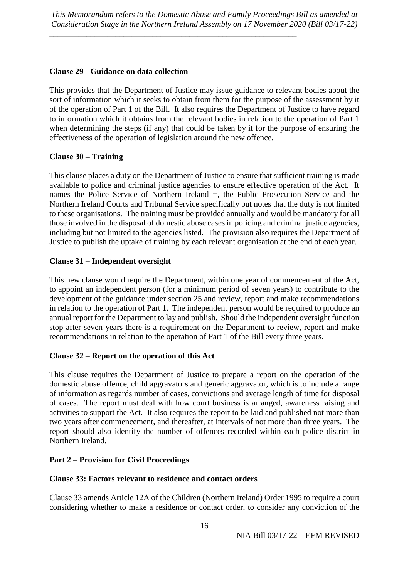\_\_\_\_\_\_\_\_\_\_\_\_\_\_\_\_\_\_\_\_\_\_\_\_\_\_\_\_\_\_\_\_\_\_\_\_\_\_\_\_\_\_\_\_\_\_\_\_\_\_\_\_\_\_\_\_\_\_\_\_

### **Clause 29 - Guidance on data collection**

This provides that the Department of Justice may issue guidance to relevant bodies about the sort of information which it seeks to obtain from them for the purpose of the assessment by it of the operation of Part 1 of the Bill. It also requires the Department of Justice to have regard to information which it obtains from the relevant bodies in relation to the operation of Part 1 when determining the steps (if any) that could be taken by it for the purpose of ensuring the effectiveness of the operation of legislation around the new offence.

# **Clause 30 – Training**

This clause places a duty on the Department of Justice to ensure that sufficient training is made available to police and criminal justice agencies to ensure effective operation of the Act. It names the Police Service of Northern Ireland =, the Public Prosecution Service and the Northern Ireland Courts and Tribunal Service specifically but notes that the duty is not limited to these organisations. The training must be provided annually and would be mandatory for all those involved in the disposal of domestic abuse cases in policing and criminal justice agencies, including but not limited to the agencies listed. The provision also requires the Department of Justice to publish the uptake of training by each relevant organisation at the end of each year.

### **Clause 31 – Independent oversight**

This new clause would require the Department, within one year of commencement of the Act, to appoint an independent person (for a minimum period of seven years) to contribute to the development of the guidance under section 25 and review, report and make recommendations in relation to the operation of Part 1. The independent person would be required to produce an annual report for the Department to lay and publish. Should the independent oversight function stop after seven years there is a requirement on the Department to review, report and make recommendations in relation to the operation of Part 1 of the Bill every three years.

### **Clause 32 – Report on the operation of this Act**

This clause requires the Department of Justice to prepare a report on the operation of the domestic abuse offence, child aggravators and generic aggravator, which is to include a range of information as regards number of cases, convictions and average length of time for disposal of cases. The report must deal with how court business is arranged, awareness raising and activities to support the Act. It also requires the report to be laid and published not more than two years after commencement, and thereafter, at intervals of not more than three years. The report should also identify the number of offences recorded within each police district in Northern Ireland.

# **Part 2 – Provision for Civil Proceedings**

### **Clause 33: Factors relevant to residence and contact orders**

Clause 33 amends Article 12A of the Children (Northern Ireland) Order 1995 to require a court considering whether to make a residence or contact order, to consider any conviction of the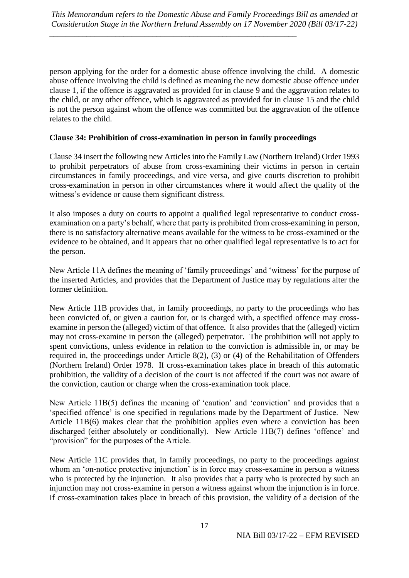person applying for the order for a domestic abuse offence involving the child. A domestic abuse offence involving the child is defined as meaning the new domestic abuse offence under clause 1, if the offence is aggravated as provided for in clause 9 and the aggravation relates to the child, or any other offence, which is aggravated as provided for in clause 15 and the child is not the person against whom the offence was committed but the aggravation of the offence relates to the child.

### **Clause 34: Prohibition of cross-examination in person in family proceedings**

\_\_\_\_\_\_\_\_\_\_\_\_\_\_\_\_\_\_\_\_\_\_\_\_\_\_\_\_\_\_\_\_\_\_\_\_\_\_\_\_\_\_\_\_\_\_\_\_\_\_\_\_\_\_\_\_\_\_\_\_

Clause 34 insert the following new Articles into the Family Law (Northern Ireland) Order 1993 to prohibit perpetrators of abuse from cross-examining their victims in person in certain circumstances in family proceedings, and vice versa, and give courts discretion to prohibit cross-examination in person in other circumstances where it would affect the quality of the witness's evidence or cause them significant distress.

It also imposes a duty on courts to appoint a qualified legal representative to conduct crossexamination on a party's behalf, where that party is prohibited from cross-examining in person, there is no satisfactory alternative means available for the witness to be cross-examined or the evidence to be obtained, and it appears that no other qualified legal representative is to act for the person.

New Article 11A defines the meaning of 'family proceedings' and 'witness' for the purpose of the inserted Articles, and provides that the Department of Justice may by regulations alter the former definition.

New Article 11B provides that, in family proceedings, no party to the proceedings who has been convicted of, or given a caution for, or is charged with, a specified offence may crossexamine in person the (alleged) victim of that offence. It also provides that the (alleged) victim may not cross-examine in person the (alleged) perpetrator. The prohibition will not apply to spent convictions, unless evidence in relation to the conviction is admissible in, or may be required in, the proceedings under Article 8(2), (3) or (4) of the Rehabilitation of Offenders (Northern Ireland) Order 1978. If cross-examination takes place in breach of this automatic prohibition, the validity of a decision of the court is not affected if the court was not aware of the conviction, caution or charge when the cross-examination took place.

New Article 11B(5) defines the meaning of 'caution' and 'conviction' and provides that a 'specified offence' is one specified in regulations made by the Department of Justice. New Article 11B(6) makes clear that the prohibition applies even where a conviction has been discharged (either absolutely or conditionally). New Article 11B(7) defines 'offence' and "provision" for the purposes of the Article.

New Article 11C provides that, in family proceedings, no party to the proceedings against whom an 'on-notice protective injunction' is in force may cross-examine in person a witness who is protected by the injunction. It also provides that a party who is protected by such an injunction may not cross-examine in person a witness against whom the injunction is in force. If cross-examination takes place in breach of this provision, the validity of a decision of the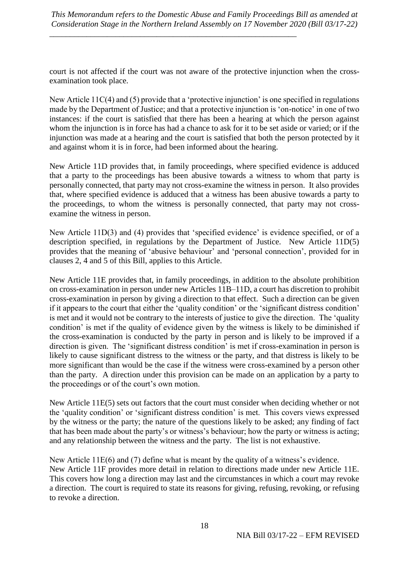court is not affected if the court was not aware of the protective injunction when the crossexamination took place.

New Article 11C(4) and (5) provide that a 'protective injunction' is one specified in regulations made by the Department of Justice; and that a protective injunction is 'on-notice' in one of two instances: if the court is satisfied that there has been a hearing at which the person against whom the injunction is in force has had a chance to ask for it to be set aside or varied; or if the injunction was made at a hearing and the court is satisfied that both the person protected by it and against whom it is in force, had been informed about the hearing.

New Article 11D provides that, in family proceedings, where specified evidence is adduced that a party to the proceedings has been abusive towards a witness to whom that party is personally connected, that party may not cross-examine the witness in person. It also provides that, where specified evidence is adduced that a witness has been abusive towards a party to the proceedings, to whom the witness is personally connected, that party may not crossexamine the witness in person.

New Article 11D(3) and (4) provides that 'specified evidence' is evidence specified, or of a description specified, in regulations by the Department of Justice. New Article 11D(5) provides that the meaning of 'abusive behaviour' and 'personal connection', provided for in clauses 2, 4 and 5 of this Bill, applies to this Article.

New Article 11E provides that, in family proceedings, in addition to the absolute prohibition on cross-examination in person under new Articles 11B–11D, a court has discretion to prohibit cross-examination in person by giving a direction to that effect. Such a direction can be given if it appears to the court that either the 'quality condition' or the 'significant distress condition' is met and it would not be contrary to the interests of justice to give the direction. The 'quality condition' is met if the quality of evidence given by the witness is likely to be diminished if the cross-examination is conducted by the party in person and is likely to be improved if a direction is given. The 'significant distress condition' is met if cross-examination in person is likely to cause significant distress to the witness or the party, and that distress is likely to be more significant than would be the case if the witness were cross-examined by a person other than the party. A direction under this provision can be made on an application by a party to the proceedings or of the court's own motion.

New Article 11E(5) sets out factors that the court must consider when deciding whether or not the 'quality condition' or 'significant distress condition' is met. This covers views expressed by the witness or the party; the nature of the questions likely to be asked; any finding of fact that has been made about the party's or witness's behaviour; how the party or witness is acting; and any relationship between the witness and the party. The list is not exhaustive.

New Article 11E(6) and (7) define what is meant by the quality of a witness's evidence. New Article 11F provides more detail in relation to directions made under new Article 11E. This covers how long a direction may last and the circumstances in which a court may revoke a direction. The court is required to state its reasons for giving, refusing, revoking, or refusing to revoke a direction.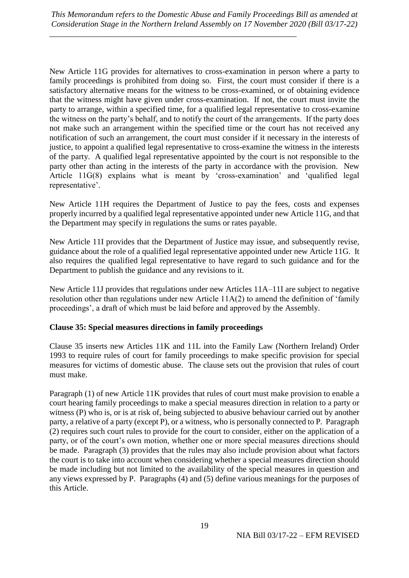\_\_\_\_\_\_\_\_\_\_\_\_\_\_\_\_\_\_\_\_\_\_\_\_\_\_\_\_\_\_\_\_\_\_\_\_\_\_\_\_\_\_\_\_\_\_\_\_\_\_\_\_\_\_\_\_\_\_\_\_

New Article 11G provides for alternatives to cross-examination in person where a party to family proceedings is prohibited from doing so. First, the court must consider if there is a satisfactory alternative means for the witness to be cross-examined, or of obtaining evidence that the witness might have given under cross-examination. If not, the court must invite the party to arrange, within a specified time, for a qualified legal representative to cross-examine the witness on the party's behalf, and to notify the court of the arrangements. If the party does not make such an arrangement within the specified time or the court has not received any notification of such an arrangement, the court must consider if it necessary in the interests of justice, to appoint a qualified legal representative to cross-examine the witness in the interests of the party. A qualified legal representative appointed by the court is not responsible to the party other than acting in the interests of the party in accordance with the provision. New Article 11G(8) explains what is meant by 'cross-examination' and 'qualified legal representative'.

New Article 11H requires the Department of Justice to pay the fees, costs and expenses properly incurred by a qualified legal representative appointed under new Article 11G, and that the Department may specify in regulations the sums or rates payable.

New Article 11I provides that the Department of Justice may issue, and subsequently revise, guidance about the role of a qualified legal representative appointed under new Article 11G. It also requires the qualified legal representative to have regard to such guidance and for the Department to publish the guidance and any revisions to it.

New Article 11J provides that regulations under new Articles 11A–11I are subject to negative resolution other than regulations under new Article 11A(2) to amend the definition of 'family proceedings', a draft of which must be laid before and approved by the Assembly.

### **Clause 35: Special measures directions in family proceedings**

Clause 35 inserts new Articles 11K and 11L into the Family Law (Northern Ireland) Order 1993 to require rules of court for family proceedings to make specific provision for special measures for victims of domestic abuse. The clause sets out the provision that rules of court must make.

Paragraph (1) of new Article 11K provides that rules of court must make provision to enable a court hearing family proceedings to make a special measures direction in relation to a party or witness (P) who is, or is at risk of, being subjected to abusive behaviour carried out by another party, a relative of a party (except P), or a witness, who is personally connected to P. Paragraph (2) requires such court rules to provide for the court to consider, either on the application of a party, or of the court's own motion, whether one or more special measures directions should be made. Paragraph (3) provides that the rules may also include provision about what factors the court is to take into account when considering whether a special measures direction should be made including but not limited to the availability of the special measures in question and any views expressed by P. Paragraphs (4) and (5) define various meanings for the purposes of this Article.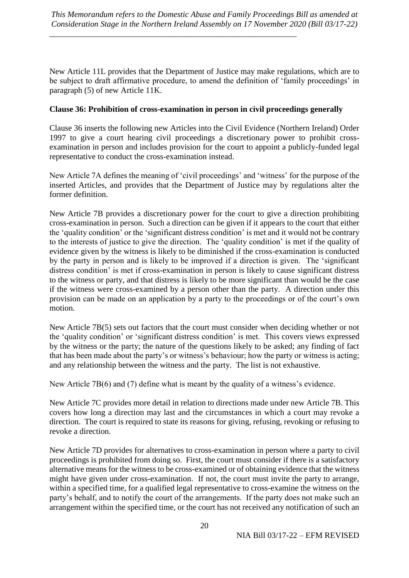\_\_\_\_\_\_\_\_\_\_\_\_\_\_\_\_\_\_\_\_\_\_\_\_\_\_\_\_\_\_\_\_\_\_\_\_\_\_\_\_\_\_\_\_\_\_\_\_\_\_\_\_\_\_\_\_\_\_\_\_

New Article 11L provides that the Department of Justice may make regulations, which are to be subject to draft affirmative procedure, to amend the definition of 'family proceedings' in paragraph (5) of new Article 11K.

### **Clause 36: Prohibition of cross-examination in person in civil proceedings generally**

Clause 36 inserts the following new Articles into the Civil Evidence (Northern Ireland) Order 1997 to give a court hearing civil proceedings a discretionary power to prohibit crossexamination in person and includes provision for the court to appoint a publicly-funded legal representative to conduct the cross-examination instead.

New Article 7A defines the meaning of 'civil proceedings' and 'witness' for the purpose of the inserted Articles, and provides that the Department of Justice may by regulations alter the former definition.

New Article 7B provides a discretionary power for the court to give a direction prohibiting cross-examination in person. Such a direction can be given if it appears to the court that either the 'quality condition' or the 'significant distress condition' is met and it would not be contrary to the interests of justice to give the direction. The 'quality condition' is met if the quality of evidence given by the witness is likely to be diminished if the cross-examination is conducted by the party in person and is likely to be improved if a direction is given. The 'significant distress condition' is met if cross-examination in person is likely to cause significant distress to the witness or party, and that distress is likely to be more significant than would be the case if the witness were cross-examined by a person other than the party. A direction under this provision can be made on an application by a party to the proceedings or of the court's own motion.

New Article 7B(5) sets out factors that the court must consider when deciding whether or not the 'quality condition' or 'significant distress condition' is met. This covers views expressed by the witness or the party; the nature of the questions likely to be asked; any finding of fact that has been made about the party's or witness's behaviour; how the party or witness is acting; and any relationship between the witness and the party. The list is not exhaustive.

New Article 7B(6) and (7) define what is meant by the quality of a witness's evidence.

New Article 7C provides more detail in relation to directions made under new Article 7B. This covers how long a direction may last and the circumstances in which a court may revoke a direction. The court is required to state its reasons for giving, refusing, revoking or refusing to revoke a direction.

New Article 7D provides for alternatives to cross-examination in person where a party to civil proceedings is prohibited from doing so. First, the court must consider if there is a satisfactory alternative means for the witness to be cross-examined or of obtaining evidence that the witness might have given under cross-examination. If not, the court must invite the party to arrange, within a specified time, for a qualified legal representative to cross-examine the witness on the party's behalf, and to notify the court of the arrangements. If the party does not make such an arrangement within the specified time, or the court has not received any notification of such an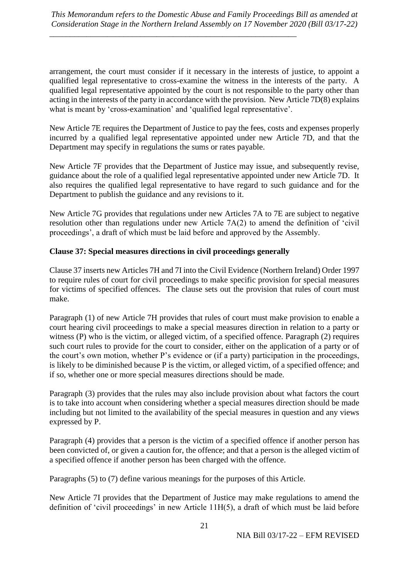\_\_\_\_\_\_\_\_\_\_\_\_\_\_\_\_\_\_\_\_\_\_\_\_\_\_\_\_\_\_\_\_\_\_\_\_\_\_\_\_\_\_\_\_\_\_\_\_\_\_\_\_\_\_\_\_\_\_\_\_

arrangement, the court must consider if it necessary in the interests of justice, to appoint a qualified legal representative to cross-examine the witness in the interests of the party. A qualified legal representative appointed by the court is not responsible to the party other than acting in the interests of the party in accordance with the provision. New Article 7D(8) explains what is meant by 'cross-examination' and 'qualified legal representative'.

New Article 7E requires the Department of Justice to pay the fees, costs and expenses properly incurred by a qualified legal representative appointed under new Article 7D, and that the Department may specify in regulations the sums or rates payable.

New Article 7F provides that the Department of Justice may issue, and subsequently revise, guidance about the role of a qualified legal representative appointed under new Article 7D. It also requires the qualified legal representative to have regard to such guidance and for the Department to publish the guidance and any revisions to it.

New Article 7G provides that regulations under new Articles 7A to 7E are subject to negative resolution other than regulations under new Article 7A(2) to amend the definition of 'civil proceedings', a draft of which must be laid before and approved by the Assembly.

# **Clause 37: Special measures directions in civil proceedings generally**

Clause 37 inserts new Articles 7H and 7I into the Civil Evidence (Northern Ireland) Order 1997 to require rules of court for civil proceedings to make specific provision for special measures for victims of specified offences. The clause sets out the provision that rules of court must make.

Paragraph (1) of new Article 7H provides that rules of court must make provision to enable a court hearing civil proceedings to make a special measures direction in relation to a party or witness (P) who is the victim, or alleged victim, of a specified offence. Paragraph (2) requires such court rules to provide for the court to consider, either on the application of a party or of the court's own motion, whether P's evidence or (if a party) participation in the proceedings, is likely to be diminished because P is the victim, or alleged victim, of a specified offence; and if so, whether one or more special measures directions should be made.

Paragraph (3) provides that the rules may also include provision about what factors the court is to take into account when considering whether a special measures direction should be made including but not limited to the availability of the special measures in question and any views expressed by P.

Paragraph (4) provides that a person is the victim of a specified offence if another person has been convicted of, or given a caution for, the offence; and that a person is the alleged victim of a specified offence if another person has been charged with the offence.

Paragraphs (5) to (7) define various meanings for the purposes of this Article.

New Article 7I provides that the Department of Justice may make regulations to amend the definition of 'civil proceedings' in new Article 11H(5), a draft of which must be laid before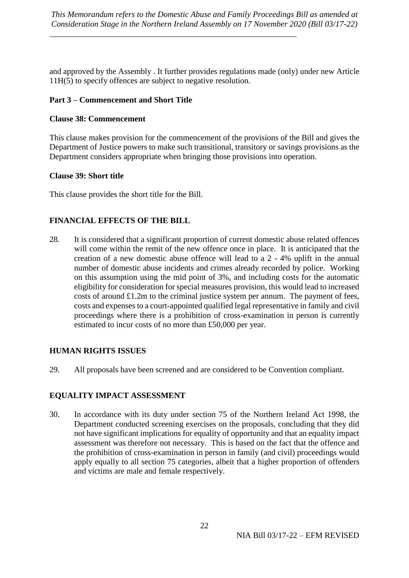\_\_\_\_\_\_\_\_\_\_\_\_\_\_\_\_\_\_\_\_\_\_\_\_\_\_\_\_\_\_\_\_\_\_\_\_\_\_\_\_\_\_\_\_\_\_\_\_\_\_\_\_\_\_\_\_\_\_\_\_

and approved by the Assembly . It further provides regulations made (only) under new Article 11H(5) to specify offences are subject to negative resolution.

### **Part 3 – Commencement and Short Title**

### **Clause 38: Commencement**

This clause makes provision for the commencement of the provisions of the Bill and gives the Department of Justice powers to make such transitional, transitory or savings provisions as the Department considers appropriate when bringing those provisions into operation.

### **Clause 39: Short title**

This clause provides the short title for the Bill.

# **FINANCIAL EFFECTS OF THE BILL**

28. It is considered that a significant proportion of current domestic abuse related offences will come within the remit of the new offence once in place. It is anticipated that the creation of a new domestic abuse offence will lead to a 2 - 4% uplift in the annual number of domestic abuse incidents and crimes already recorded by police. Working on this assumption using the mid point of 3%, and including costs for the automatic eligibility for consideration for special measures provision, this would lead to increased costs of around £1.2m to the criminal justice system per annum. The payment of fees, costs and expenses to a court-appointed qualified legal representative in family and civil proceedings where there is a prohibition of cross-examination in person is currently estimated to incur costs of no more than £50,000 per year.

# **HUMAN RIGHTS ISSUES**

29. All proposals have been screened and are considered to be Convention compliant.

# **EQUALITY IMPACT ASSESSMENT**

30. In accordance with its duty under section 75 of the Northern Ireland Act 1998, the Department conducted screening exercises on the proposals, concluding that they did not have significant implications for equality of opportunity and that an equality impact assessment was therefore not necessary. This is based on the fact that the offence and the prohibition of cross-examination in person in family (and civil) proceedings would apply equally to all section 75 categories, albeit that a higher proportion of offenders and victims are male and female respectively.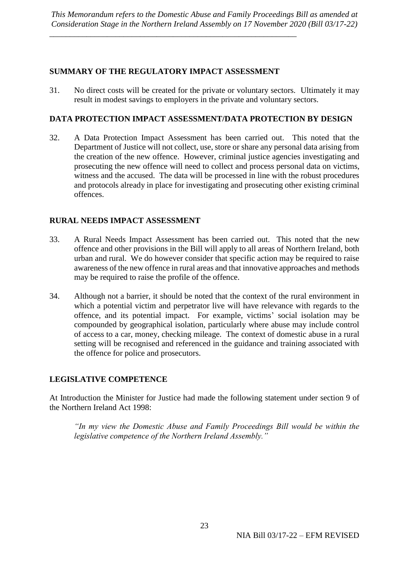# **SUMMARY OF THE REGULATORY IMPACT ASSESSMENT**

\_\_\_\_\_\_\_\_\_\_\_\_\_\_\_\_\_\_\_\_\_\_\_\_\_\_\_\_\_\_\_\_\_\_\_\_\_\_\_\_\_\_\_\_\_\_\_\_\_\_\_\_\_\_\_\_\_\_\_\_

31. No direct costs will be created for the private or voluntary sectors. Ultimately it may result in modest savings to employers in the private and voluntary sectors.

# **DATA PROTECTION IMPACT ASSESSMENT/DATA PROTECTION BY DESIGN**

32. A Data Protection Impact Assessment has been carried out. This noted that the Department of Justice will not collect, use, store or share any personal data arising from the creation of the new offence. However, criminal justice agencies investigating and prosecuting the new offence will need to collect and process personal data on victims, witness and the accused. The data will be processed in line with the robust procedures and protocols already in place for investigating and prosecuting other existing criminal offences.

# **RURAL NEEDS IMPACT ASSESSMENT**

- 33. A Rural Needs Impact Assessment has been carried out. This noted that the new offence and other provisions in the Bill will apply to all areas of Northern Ireland, both urban and rural. We do however consider that specific action may be required to raise awareness of the new offence in rural areas and that innovative approaches and methods may be required to raise the profile of the offence.
- 34. Although not a barrier, it should be noted that the context of the rural environment in which a potential victim and perpetrator live will have relevance with regards to the offence, and its potential impact. For example, victims' social isolation may be compounded by geographical isolation, particularly where abuse may include control of access to a car, money, checking mileage. The context of domestic abuse in a rural setting will be recognised and referenced in the guidance and training associated with the offence for police and prosecutors.

# **LEGISLATIVE COMPETENCE**

At Introduction the Minister for Justice had made the following statement under section 9 of the Northern Ireland Act 1998:

*"In my view the Domestic Abuse and Family Proceedings Bill would be within the legislative competence of the Northern Ireland Assembly."*